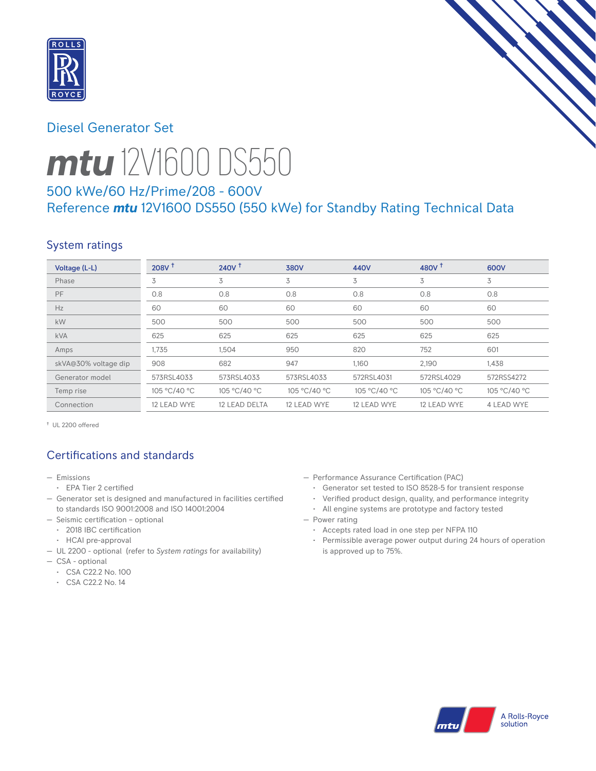

# Diesel Generator Set



# *mtu* 12V1600 DS550

# 500 kWe/60 Hz/Prime/208 - 600V Reference *mtu* 12V1600 DS550 (550 kWe) for Standby Rating Technical Data

# System ratings

| Voltage (L-L)        | 208V <sup>†</sup> | 240V <sup>†</sup> | <b>380V</b>  | 440V         | 480V $†$     | 600V         |
|----------------------|-------------------|-------------------|--------------|--------------|--------------|--------------|
| Phase                | 3                 | 3                 | 3            | 3            | 3            | 3            |
| PF                   | 0.8               | 0.8               | 0.8          | 0.8          | 0.8          | 0.8          |
| Hz                   | 60                | 60                | 60           | 60           | 60           | 60           |
| kW                   | 500               | 500               | 500          | 500          | 500          | 500          |
| <b>kVA</b>           | 625               | 625               | 625          | 625          | 625          | 625          |
| Amps                 | 1,735             | 1,504             | 950          | 820          | 752          | 601          |
| skVA@30% voltage dip | 908               | 682               | 947          | 1,160        | 2,190        | 1,438        |
| Generator model      | 573RSL4033        | 573RSL4033        | 573RSL4033   | 572RSL4031   | 572RSL4029   | 572RSS4272   |
| Temp rise            | 105 °C/40 °C      | 105 °C/40 °C      | 105 °C/40 °C | 105 °C/40 °C | 105 °C/40 °C | 105 °C/40 °C |
| Connection           | 12 LEAD WYE       | 12 LEAD DELTA     | 12 LEAD WYE  | 12 LEAD WYE  | 12 LEAD WYE  | 4 LEAD WYE   |

† UL 2200 offered

# Certifications and standards

- Emissions
	- EPA Tier 2 certified
- Generator set is designed and manufactured in facilities certified to standards ISO 9001:2008 and ISO 14001:2004
- Seismic certification optional
	- 2018 IBC certification
	- HCAI pre-approval
- UL 2200 optional (refer to *System ratings* for availability)
- CSA optional
- CSA C22.2 No. 100
- CSA C22.2 No. 14
- Performance Assurance Certification (PAC)
	- Generator set tested to ISO 8528-5 for transient response
	- Verified product design, quality, and performance integrity
	- All engine systems are prototype and factory tested
- Power rating
	- Accepts rated load in one step per NFPA 110
	- Permissible average power output during 24 hours of operation is approved up to 75%.

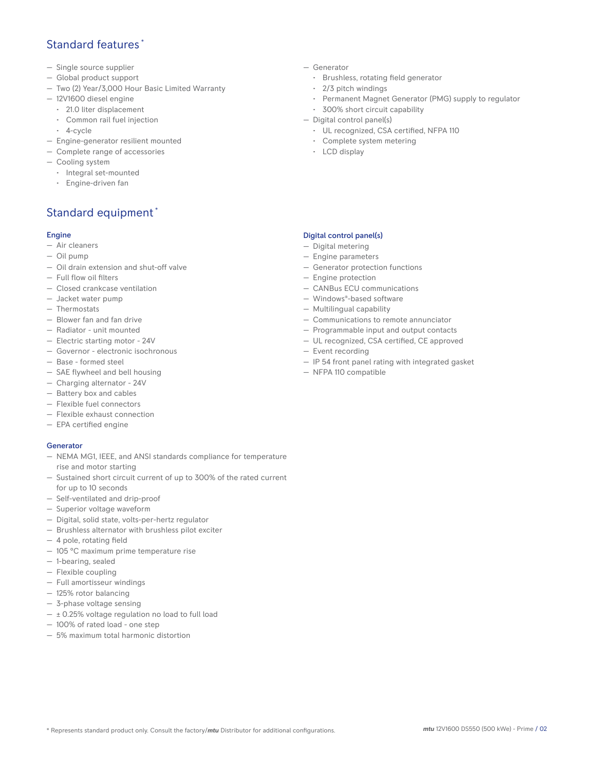## Standard features \*

- Single source supplier
- Global product support
- Two (2) Year/3,000 Hour Basic Limited Warranty
- 12V1600 diesel engine
	- 21.0 liter displacement
	- Common rail fuel injection
	- 4-cycle
- Engine-generator resilient mounted
- Complete range of accessories
- Cooling system
- Integral set-mounted
	- Engine-driven fan

# Standard equipment \*

#### Engine

- Air cleaners
- Oil pump
- Oil drain extension and shut-off valve
- Full flow oil filters
- Closed crankcase ventilation
- Jacket water pump
- Thermostats
- Blower fan and fan drive
- Radiator unit mounted
- Electric starting motor 24V
- Governor electronic isochronous
- Base formed steel
- SAE flywheel and bell housing
- Charging alternator 24V
- Battery box and cables
- Flexible fuel connectors
- Flexible exhaust connection
- EPA certified engine

#### **Generator**

- NEMA MG1, IEEE, and ANSI standards compliance for temperature rise and motor starting
- Sustained short circuit current of up to 300% of the rated current for up to 10 seconds
- Self-ventilated and drip-proof
- Superior voltage waveform
- Digital, solid state, volts-per-hertz regulator
- Brushless alternator with brushless pilot exciter
- 4 pole, rotating field
- 105 °C maximum prime temperature rise
- 1-bearing, sealed
- Flexible coupling
- Full amortisseur windings
- 125% rotor balancing
- 3-phase voltage sensing
- $\pm$  0.25% voltage regulation no load to full load
- 100% of rated load one step
- 5% maximum total harmonic distortion
- Generator
	- Brushless, rotating field generator
	- 2/3 pitch windings
	- Permanent Magnet Generator (PMG) supply to regulator
	- 300% short circuit capability
- Digital control panel(s)
	- UL recognized, CSA certified, NFPA 110
	- Complete system metering
	- LCD display

### Digital control panel(s)

- Digital metering
- Engine parameters
- Generator protection functions
- Engine protection
- CANBus ECU communications
- Windows®-based software
- Multilingual capability
- Communications to remote annunciator
- Programmable input and output contacts
- UL recognized, CSA certified, CE approved
- Event recording
- IP 54 front panel rating with integrated gasket
- NFPA 110 compatible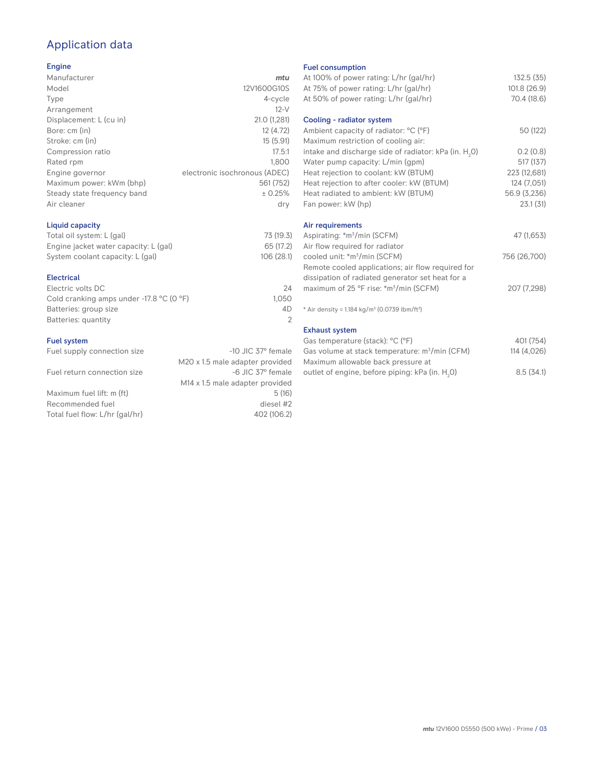# Application data

#### Engine

| Manufacturer                | mtu                           |
|-----------------------------|-------------------------------|
| Model                       | 12V1600G10S                   |
| Type                        | 4-cycle                       |
| Arrangement                 | $12-V$                        |
| Displacement: L (cu in)     | 21.0 (1,281)                  |
| Bore: cm (in)               | 12 (4.72)                     |
| Stroke: cm (in)             | 15(5.91)                      |
| Compression ratio           | 17.5:1                        |
| Rated rpm                   | 1.800                         |
| Engine governor             | electronic isochronous (ADEC) |
| Maximum power: kWm (bhp)    | 561 (752)                     |
| Steady state frequency band | ± 0.25%                       |
| Air cleaner                 | dry                           |
|                             |                               |

## Liquid capacity

| Total oil system: L (gal)             | 73 (19.3)  |
|---------------------------------------|------------|
| Engine jacket water capacity: L (gal) | 65 (17.2)  |
| System coolant capacity: L (gal)      | 106 (28.1) |

#### Electrical

| Electric volts DC                                            | 24    |
|--------------------------------------------------------------|-------|
| Cold cranking amps under -17.8 $^{\circ}$ C (O $^{\circ}$ F) | 1.050 |
| Batteries: group size                                        | 4D    |
| Batteries: quantity                                          |       |
|                                                              |       |

#### Fuel system

| Fuel supply connection size    | $-10$ JIC 37 $\degree$ female               |
|--------------------------------|---------------------------------------------|
|                                | M20 x 1.5 male adapter provided             |
| Fuel return connection size    | -6 JIC 37° female                           |
|                                | M <sub>14</sub> x 1.5 male adapter provided |
| Maximum fuel lift: m (ft)      | 5(16)                                       |
| Recommended fuel               | diesel #2                                   |
| Total fuel flow: L/hr (gal/hr) | 402 (106.2)                                 |
|                                |                                             |

#### Fuel consumption

|                      | <b>I UCL CONSUMPTION</b>                                             |              |
|----------------------|----------------------------------------------------------------------|--------------|
| ū                    | At 100% of power rating: L/hr (gal/hr)                               | 132.5(35)    |
| S                    | At 75% of power rating: L/hr (gal/hr)                                | 101.8 (26.9) |
| e                    | At 50% of power rating: L/hr (gal/hr)                                | 70.4 (18.6)  |
| V                    |                                                                      |              |
| 1)                   | Cooling - radiator system                                            |              |
| 2)                   | Ambient capacity of radiator: °C (°F)                                | 50 (122)     |
| 1)                   | Maximum restriction of cooling air:                                  |              |
| :1                   | intake and discharge side of radiator: kPa (in. H <sub>2</sub> 0)    | 0.2(0.8)     |
| 0                    | Water pump capacity: L/min (gpm)                                     | 517 (137)    |
| C)                   | Heat rejection to coolant: kW (BTUM)                                 | 223 (12,681) |
| 2)                   | Heat rejection to after cooler: kW (BTUM)                            | 124 (7,051)  |
| ℅                    | Heat radiated to ambient: kW (BTUM)                                  | 56.9 (3,236) |
| .<br>V               | Fan power: kW (hp)                                                   | 23.1(31)     |
|                      | Air requirements                                                     |              |
| .3)                  | Aspirating: *m <sup>3</sup> /min (SCFM)                              | 47 (1,653)   |
| .2)                  | Air flow required for radiator                                       |              |
| I.1)                 | cooled unit: *m <sup>3</sup> /min (SCFM)                             | 756 (26,700) |
|                      | Remote cooled applications; air flow required for                    |              |
|                      | dissipation of radiated generator set heat for a                     |              |
| 24                   | maximum of 25 °F rise: *m <sup>3</sup> /min (SCFM)                   | 207 (7,298)  |
| 50                   |                                                                      |              |
| ŀD<br>$\overline{2}$ | * Air density = $1.184 \text{ kg/m}^3$ (0.0739 lbm/ft <sup>3</sup> ) |              |
|                      | <b>Exhaust system</b>                                                |              |
|                      | Gas temperature (stack): °C (°F)                                     | 401 (754)    |
| ıle                  | Gas volume at stack temperature: $m^3/m$ in (CFM)                    | 114 (4,026)  |
| эd                   | Maximum allowable back pressure at                                   |              |
|                      |                                                                      |              |

outlet of engine, before piping: kPa (in.  $H_2O$ )

0) 8.5 (34.1)